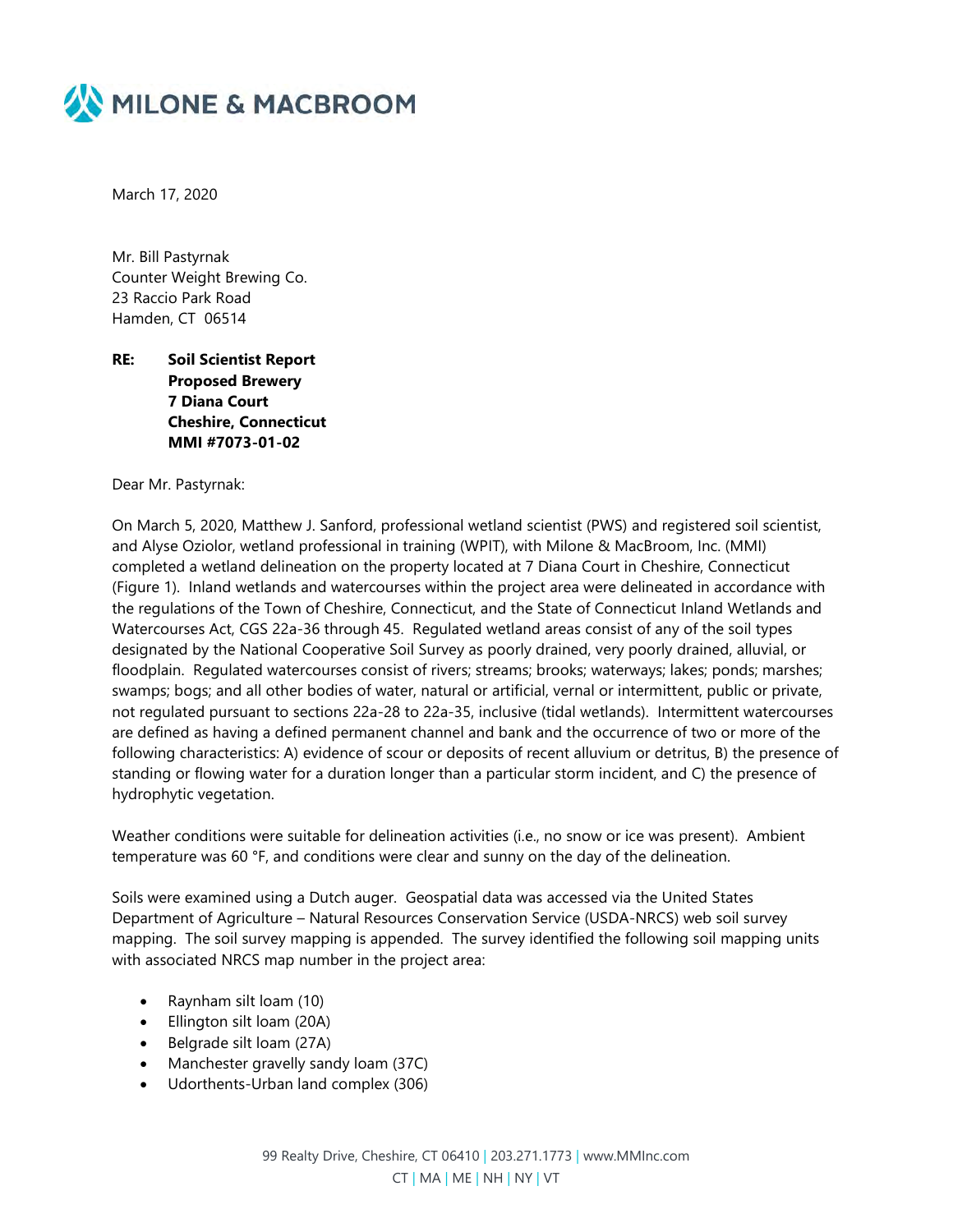

March 17, 2020

Mr. Bill Pastyrnak Counter Weight Brewing Co. 23 Raccio Park Road Hamden, CT 06514

## **RE: Soil Scientist Report Proposed Brewery 7 Diana Court Cheshire, Connecticut MMI #7073-01-02**

Dear Mr. Pastyrnak:

On March 5, 2020, Matthew J. Sanford, professional wetland scientist (PWS) and registered soil scientist, and Alyse Oziolor, wetland professional in training (WPIT), with Milone & MacBroom, Inc. (MMI) completed a wetland delineation on the property located at 7 Diana Court in Cheshire, Connecticut (Figure 1). Inland wetlands and watercourses within the project area were delineated in accordance with the regulations of the Town of Cheshire, Connecticut, and the State of Connecticut Inland Wetlands and Watercourses Act, CGS 22a-36 through 45. Regulated wetland areas consist of any of the soil types designated by the National Cooperative Soil Survey as poorly drained, very poorly drained, alluvial, or floodplain. Regulated watercourses consist of rivers; streams; brooks; waterways; lakes; ponds; marshes; swamps; bogs; and all other bodies of water, natural or artificial, vernal or intermittent, public or private, not regulated pursuant to sections 22a-28 to 22a-35, inclusive (tidal wetlands). Intermittent watercourses are defined as having a defined permanent channel and bank and the occurrence of two or more of the following characteristics: A) evidence of scour or deposits of recent alluvium or detritus, B) the presence of standing or flowing water for a duration longer than a particular storm incident, and C) the presence of hydrophytic vegetation.

Weather conditions were suitable for delineation activities (i.e., no snow or ice was present). Ambient temperature was 60 °F, and conditions were clear and sunny on the day of the delineation.

Soils were examined using a Dutch auger. Geospatial data was accessed via the United States Department of Agriculture – Natural Resources Conservation Service (USDA-NRCS) web soil survey mapping. The soil survey mapping is appended. The survey identified the following soil mapping units with associated NRCS map number in the project area:

- Raynham silt loam (10)
- Ellington silt loam (20A)
- Belgrade silt loam (27A)
- Manchester gravelly sandy loam (37C)
- Udorthents-Urban land complex (306)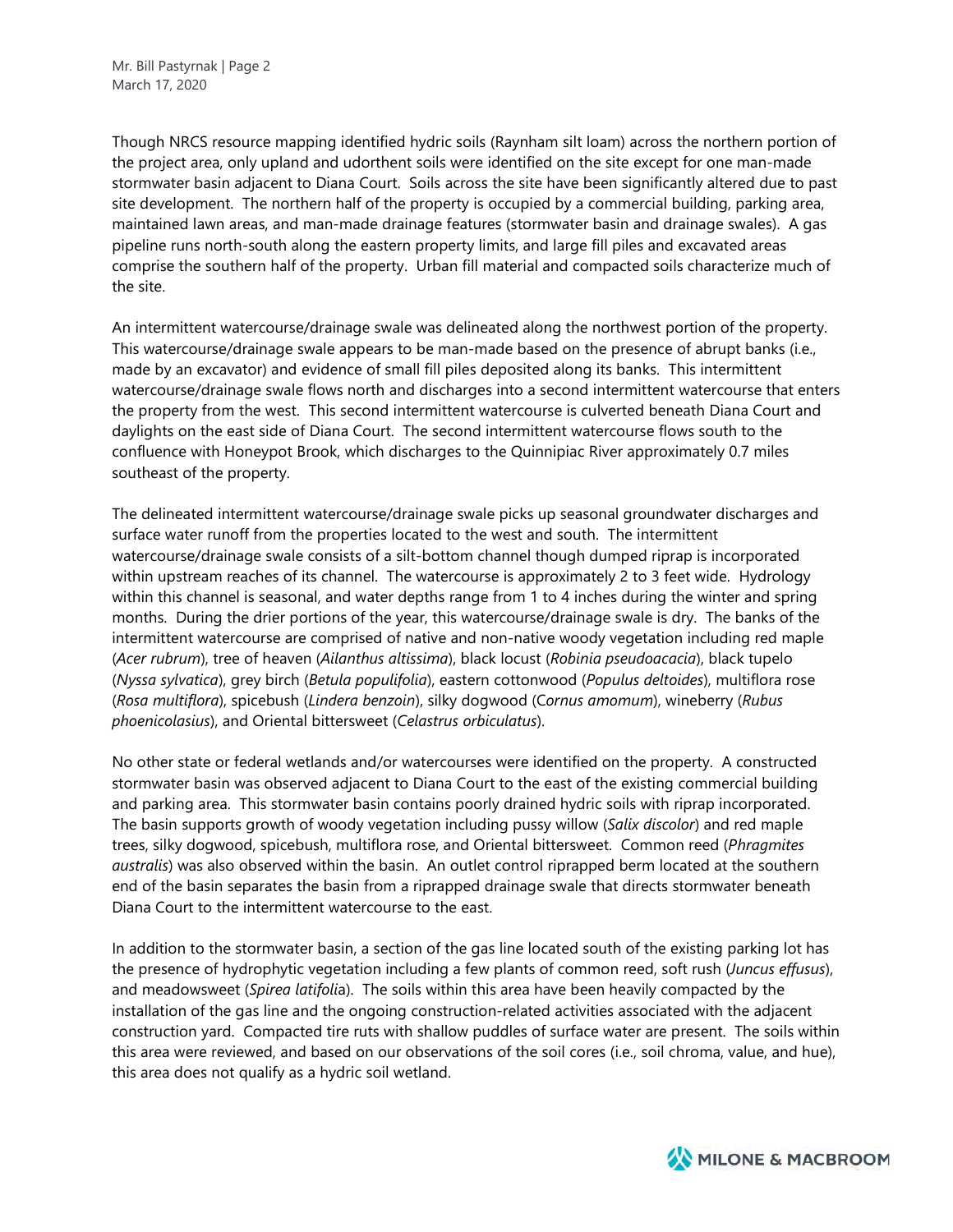Though NRCS resource mapping identified hydric soils (Raynham silt loam) across the northern portion of the project area, only upland and udorthent soils were identified on the site except for one man-made stormwater basin adjacent to Diana Court. Soils across the site have been significantly altered due to past site development. The northern half of the property is occupied by a commercial building, parking area, maintained lawn areas, and man-made drainage features (stormwater basin and drainage swales). A gas pipeline runs north-south along the eastern property limits, and large fill piles and excavated areas comprise the southern half of the property. Urban fill material and compacted soils characterize much of the site.

An intermittent watercourse/drainage swale was delineated along the northwest portion of the property. This watercourse/drainage swale appears to be man-made based on the presence of abrupt banks (i.e., made by an excavator) and evidence of small fill piles deposited along its banks. This intermittent watercourse/drainage swale flows north and discharges into a second intermittent watercourse that enters the property from the west. This second intermittent watercourse is culverted beneath Diana Court and daylights on the east side of Diana Court. The second intermittent watercourse flows south to the confluence with Honeypot Brook, which discharges to the Quinnipiac River approximately 0.7 miles southeast of the property.

The delineated intermittent watercourse/drainage swale picks up seasonal groundwater discharges and surface water runoff from the properties located to the west and south. The intermittent watercourse/drainage swale consists of a silt-bottom channel though dumped riprap is incorporated within upstream reaches of its channel. The watercourse is approximately 2 to 3 feet wide. Hydrology within this channel is seasonal, and water depths range from 1 to 4 inches during the winter and spring months. During the drier portions of the year, this watercourse/drainage swale is dry. The banks of the intermittent watercourse are comprised of native and non-native woody vegetation including red maple (*Acer rubrum*), tree of heaven (*Ailanthus altissima*), black locust (*Robinia pseudoacacia*), black tupelo (*Nyssa sylvatica*), grey birch (*Betula populifolia*), eastern cottonwood (*Populus deltoides*), multiflora rose (*Rosa multiflora*), spicebush (*Lindera benzoin*), silky dogwood (C*ornus amomum*), wineberry (*Rubus phoenicolasius*), and Oriental bittersweet (*Celastrus orbiculatus*).

No other state or federal wetlands and/or watercourses were identified on the property. A constructed stormwater basin was observed adjacent to Diana Court to the east of the existing commercial building and parking area. This stormwater basin contains poorly drained hydric soils with riprap incorporated. The basin supports growth of woody vegetation including pussy willow (*Salix discolor*) and red maple trees, silky dogwood, spicebush, multiflora rose, and Oriental bittersweet. Common reed (*Phragmites australis*) was also observed within the basin. An outlet control riprapped berm located at the southern end of the basin separates the basin from a riprapped drainage swale that directs stormwater beneath Diana Court to the intermittent watercourse to the east.

In addition to the stormwater basin, a section of the gas line located south of the existing parking lot has the presence of hydrophytic vegetation including a few plants of common reed, soft rush (*Juncus effusus*), and meadowsweet (*Spirea latifoli*a). The soils within this area have been heavily compacted by the installation of the gas line and the ongoing construction-related activities associated with the adjacent construction yard. Compacted tire ruts with shallow puddles of surface water are present. The soils within this area were reviewed, and based on our observations of the soil cores (i.e., soil chroma, value, and hue), this area does not qualify as a hydric soil wetland.

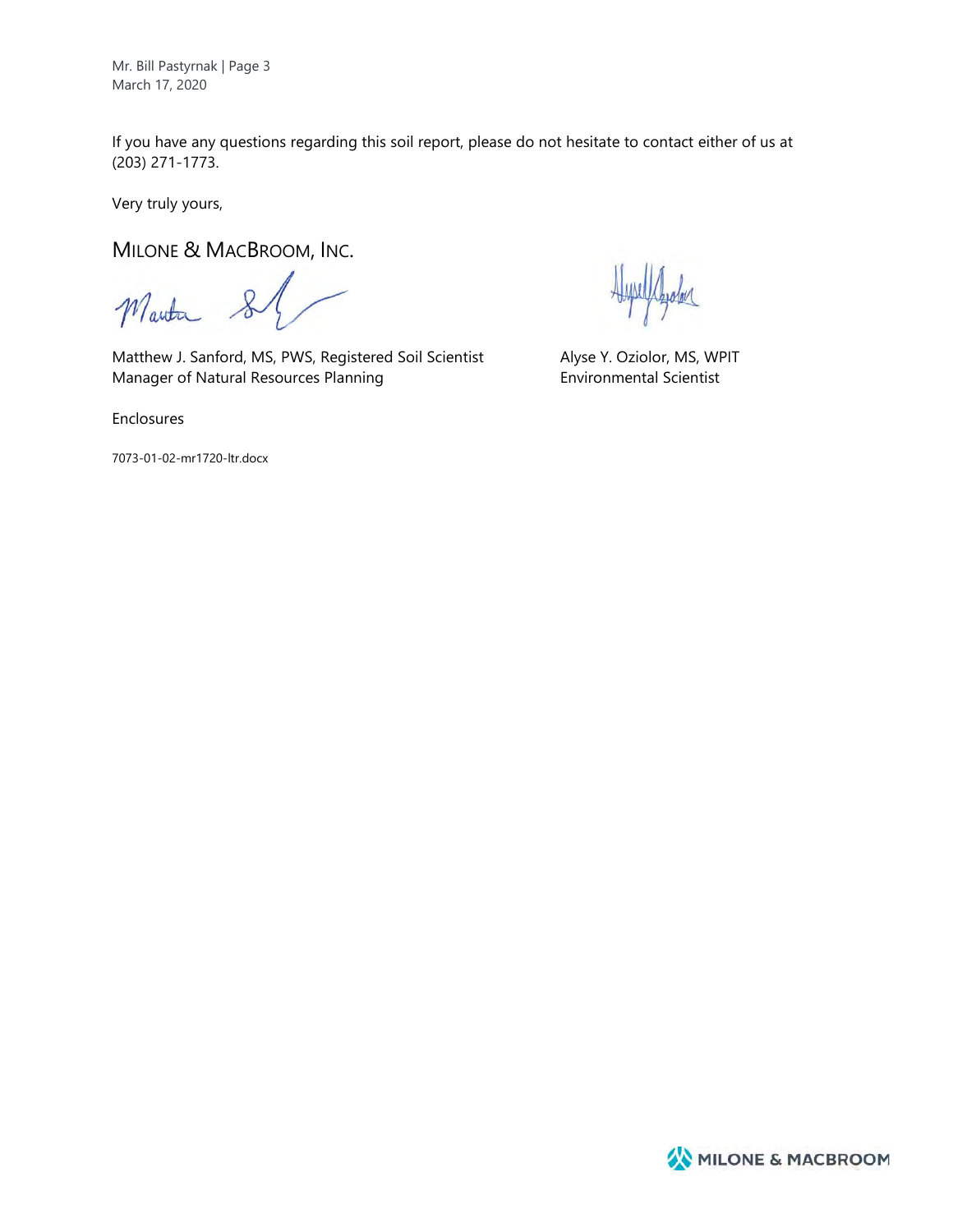Mr. Bill Pastyrnak | Page 3 March 17, 2020

If you have any questions regarding this soil report, please do not hesitate to contact either of us at (203) 271-1773.

Very truly yours,

MILONE & MACBROOM, INC.

Manta &

Matthew J. Sanford, MS, PWS, Registered Soil Scientist Alyse Y. Oziolor, MS, WPIT Manager of Natural Resources Planning **Environmental Scientist** 

Enclosures

7073-01-02-mr1720-ltr.docx

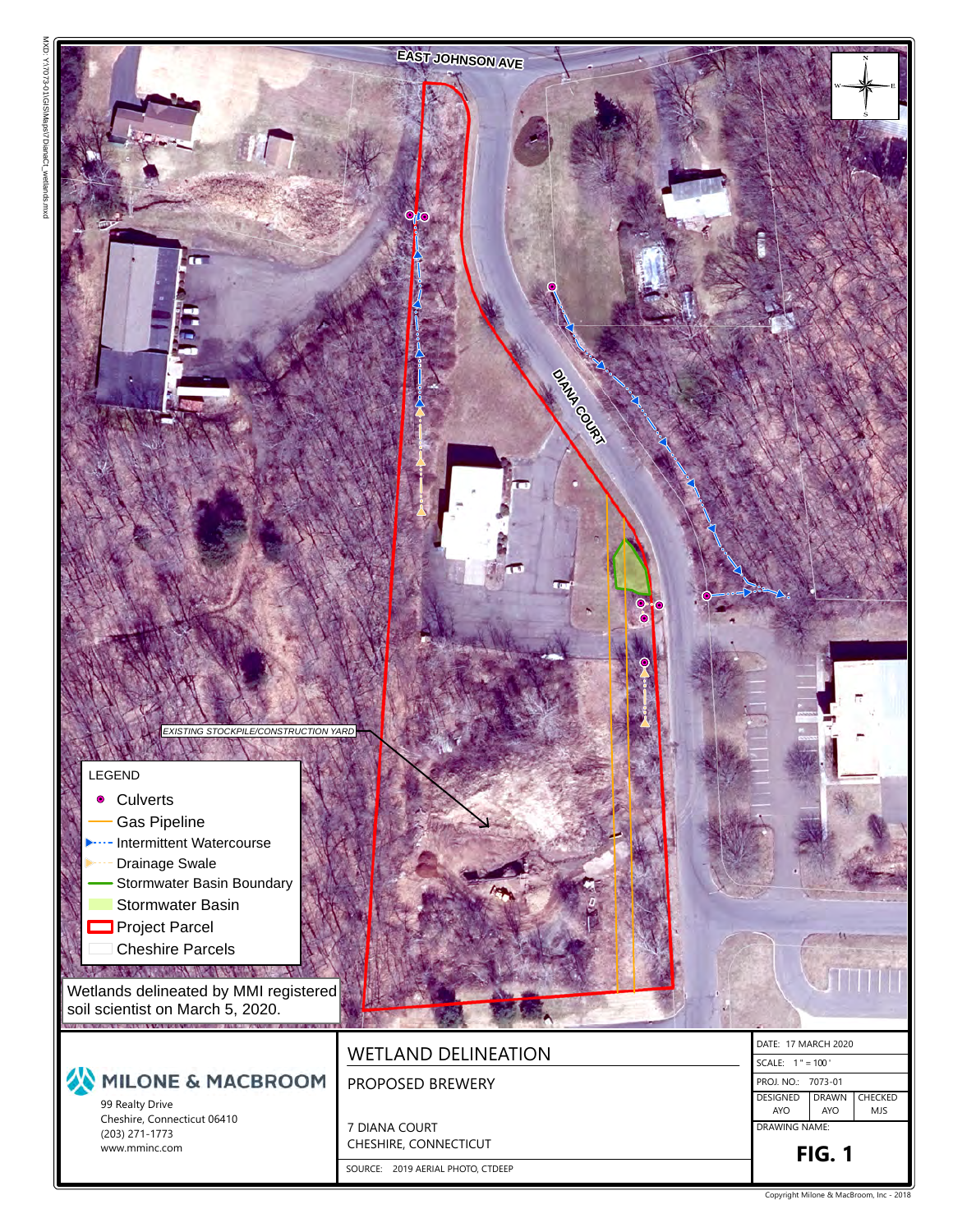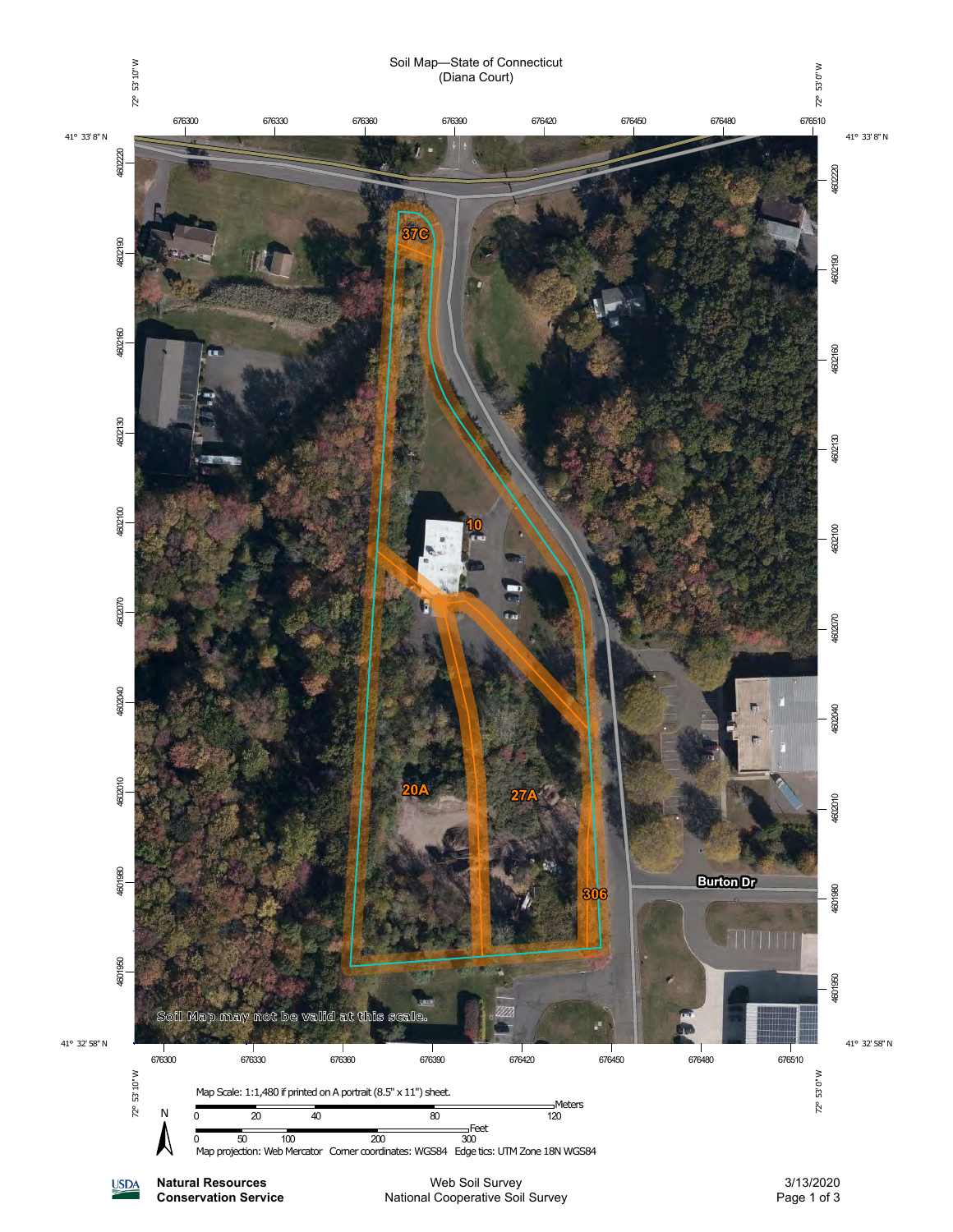

National Cooperative Soil Survey

**Conservation Service**

Page 1 of 3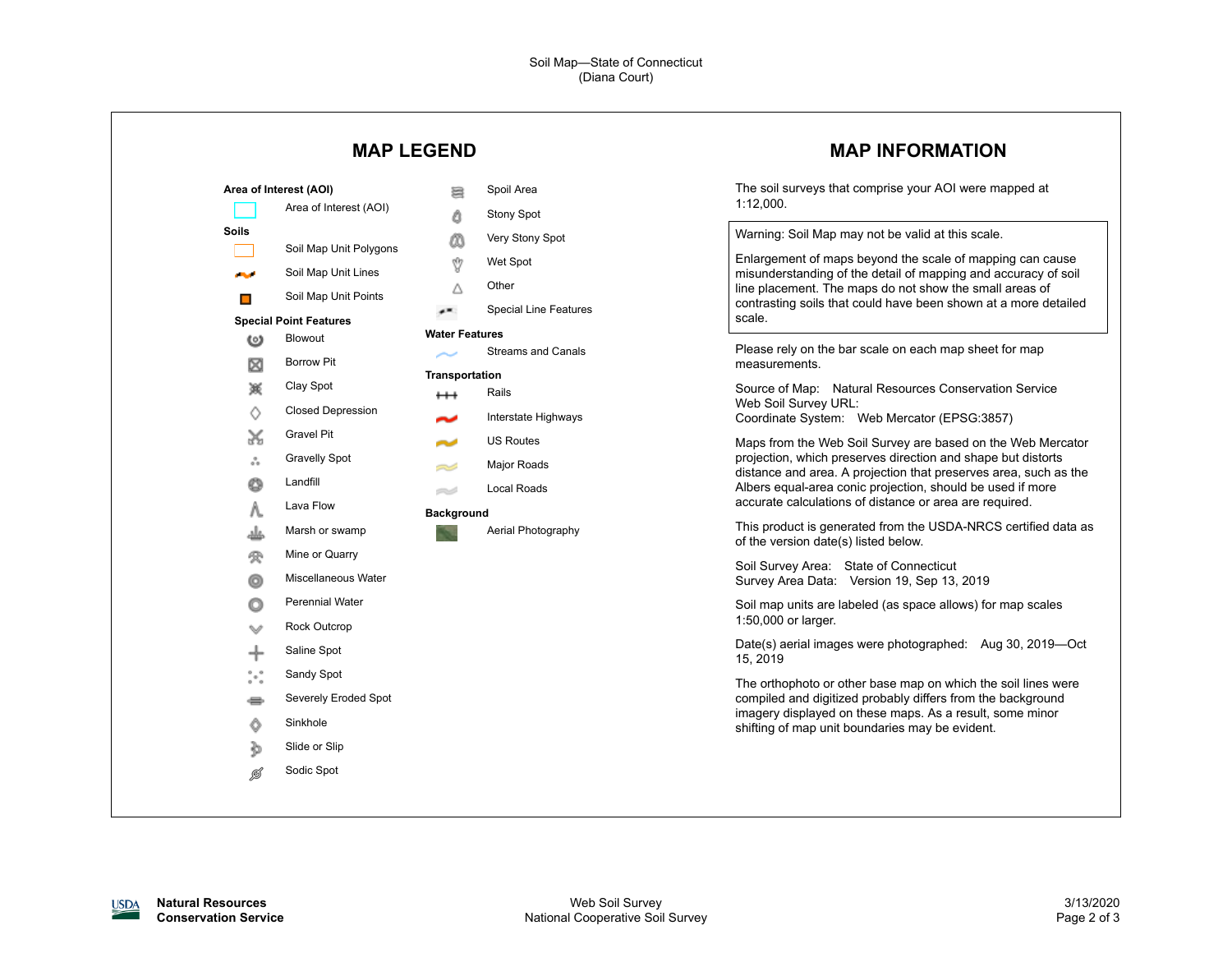|                                                                                                                                                                                 | <b>MAP LEGEND</b>                                                                                                                                                                                                                                                                                                                                                         |                                                                                                                                   | <b>MAP INFORMATION</b>                                                                                                                                                                                                                                                                                                                                                                                                                                                                                                                                                                                                                                                                                                                                                                                                                                                                                                                                                                                                                                                                                                                              |
|---------------------------------------------------------------------------------------------------------------------------------------------------------------------------------|---------------------------------------------------------------------------------------------------------------------------------------------------------------------------------------------------------------------------------------------------------------------------------------------------------------------------------------------------------------------------|-----------------------------------------------------------------------------------------------------------------------------------|-----------------------------------------------------------------------------------------------------------------------------------------------------------------------------------------------------------------------------------------------------------------------------------------------------------------------------------------------------------------------------------------------------------------------------------------------------------------------------------------------------------------------------------------------------------------------------------------------------------------------------------------------------------------------------------------------------------------------------------------------------------------------------------------------------------------------------------------------------------------------------------------------------------------------------------------------------------------------------------------------------------------------------------------------------------------------------------------------------------------------------------------------------|
| Area of Interest (AOI)<br>Soils<br>المحالي<br>$\blacksquare$<br><b>Special Point Features</b><br>Blowout<br>$\omega$                                                            | 暠<br>Area of Interest (AOI)<br>Δ<br>⅏<br>Soil Map Unit Polygons<br>Ŷ<br>Soil Map Unit Lines<br>Δ<br>Soil Map Unit Points<br>æ<br><b>Water Features</b>                                                                                                                                                                                                                    | Spoil Area<br><b>Stony Spot</b><br>Very Stony Spot<br>Wet Spot<br>Other<br><b>Special Line Features</b>                           | The soil surveys that comprise your AOI were mapped at<br>1:12,000.<br>Warning: Soil Map may not be valid at this scale.<br>Enlargement of maps beyond the scale of mapping can cause<br>misunderstanding of the detail of mapping and accuracy of soil<br>line placement. The maps do not show the small areas of<br>contrasting soils that could have been shown at a more detailed<br>scale.                                                                                                                                                                                                                                                                                                                                                                                                                                                                                                                                                                                                                                                                                                                                                     |
| ⊠<br>簽<br>♦<br>X<br>ឹ<br>Landfill<br>O<br>Λ.<br>غلد<br>受<br>o<br>O<br>╇<br>$\overset{\circ}{\phantom{a}}\circ\overset{\circ}{\phantom{a}}\circ$<br>s<br>Sinkhole<br>Ô<br>∌<br>ø | <b>Borrow Pit</b><br><b>Transportation</b><br>Clay Spot<br>$^+$<br><b>Closed Depression</b><br>Gravel Pit<br><b>Gravelly Spot</b><br>=S<br>e d<br>Lava Flow<br><b>Background</b><br>Marsh or swamp<br>Mine or Quarry<br>Miscellaneous Water<br><b>Perennial Water</b><br>Rock Outcrop<br>Saline Spot<br>Sandy Spot<br>Severely Eroded Spot<br>Slide or Slip<br>Sodic Spot | <b>Streams and Canals</b><br>Rails<br>Interstate Highways<br><b>US Routes</b><br>Major Roads<br>Local Roads<br>Aerial Photography | Please rely on the bar scale on each map sheet for map<br>measurements.<br>Source of Map: Natural Resources Conservation Service<br>Web Soil Survey URL:<br>Coordinate System: Web Mercator (EPSG:3857)<br>Maps from the Web Soil Survey are based on the Web Mercator<br>projection, which preserves direction and shape but distorts<br>distance and area. A projection that preserves area, such as the<br>Albers equal-area conic projection, should be used if more<br>accurate calculations of distance or area are required.<br>This product is generated from the USDA-NRCS certified data as<br>of the version date(s) listed below.<br>Soil Survey Area: State of Connecticut<br>Survey Area Data: Version 19, Sep 13, 2019<br>Soil map units are labeled (as space allows) for map scales<br>1:50,000 or larger.<br>Date(s) aerial images were photographed: Aug 30, 2019-Oct<br>15, 2019<br>The orthophoto or other base map on which the soil lines were<br>compiled and digitized probably differs from the background<br>imagery displayed on these maps. As a result, some minor<br>shifting of map unit boundaries may be evident. |